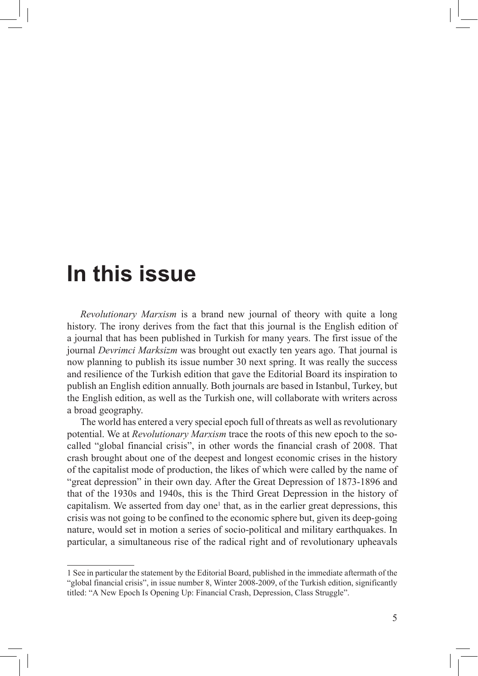## **In this issue**

*Revolutionary Marxism* is a brand new journal of theory with quite a long history. The irony derives from the fact that this journal is the English edition of a journal that has been published in Turkish for many years. The first issue of the journal *Devrimci Marksizm* was brought out exactly ten years ago. That journal is now planning to publish its issue number 30 next spring. It was really the success and resilience of the Turkish edition that gave the Editorial Board its inspiration to publish an English edition annually. Both journals are based in Istanbul, Turkey, but the English edition, as well as the Turkish one, will collaborate with writers across a broad geography.

The world has entered a very special epoch full of threats as well as revolutionary potential. We at *Revolutionary Marxism* trace the roots of this new epoch to the socalled "global financial crisis", in other words the financial crash of 2008. That crash brought about one of the deepest and longest economic crises in the history of the capitalist mode of production, the likes of which were called by the name of "great depression" in their own day. After the Great Depression of 1873-1896 and that of the 1930s and 1940s, this is the Third Great Depression in the history of capitalism. We asserted from day one<sup>1</sup> that, as in the earlier great depressions, this crisis was not going to be confined to the economic sphere but, given its deep-going nature, would set in motion a series of socio-political and military earthquakes. In particular, a simultaneous rise of the radical right and of revolutionary upheavals

<sup>1</sup> See in particular the statement by the Editorial Board, published in the immediate aftermath of the "global financial crisis", in issue number 8, Winter 2008-2009, of the Turkish edition, significantly titled: "A New Epoch Is Opening Up: Financial Crash, Depression, Class Struggle".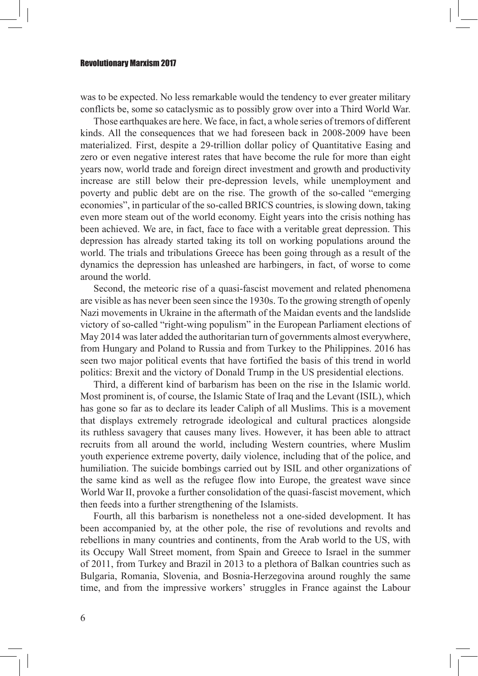## Revolutionary Marxism 2017

was to be expected. No less remarkable would the tendency to ever greater military conflicts be, some so cataclysmic as to possibly grow over into a Third World War.

Those earthquakes are here. We face, in fact, a whole series of tremors of different kinds. All the consequences that we had foreseen back in 2008-2009 have been materialized. First, despite a 29-trillion dollar policy of Quantitative Easing and zero or even negative interest rates that have become the rule for more than eight years now, world trade and foreign direct investment and growth and productivity increase are still below their pre-depression levels, while unemployment and poverty and public debt are on the rise. The growth of the so-called "emerging economies", in particular of the so-called BRICS countries, is slowing down, taking even more steam out of the world economy. Eight years into the crisis nothing has been achieved. We are, in fact, face to face with a veritable great depression. This depression has already started taking its toll on working populations around the world. The trials and tribulations Greece has been going through as a result of the dynamics the depression has unleashed are harbingers, in fact, of worse to come around the world.

Second, the meteoric rise of a quasi-fascist movement and related phenomena are visible as has never been seen since the 1930s. To the growing strength of openly Nazi movements in Ukraine in the aftermath of the Maidan events and the landslide victory of so-called "right-wing populism" in the European Parliament elections of May 2014 was later added the authoritarian turn of governments almost everywhere, from Hungary and Poland to Russia and from Turkey to the Philippines. 2016 has seen two major political events that have fortified the basis of this trend in world politics: Brexit and the victory of Donald Trump in the US presidential elections.

Third, a different kind of barbarism has been on the rise in the Islamic world. Most prominent is, of course, the Islamic State of Iraq and the Levant (ISIL), which has gone so far as to declare its leader Caliph of all Muslims. This is a movement that displays extremely retrograde ideological and cultural practices alongside its ruthless savagery that causes many lives. However, it has been able to attract recruits from all around the world, including Western countries, where Muslim youth experience extreme poverty, daily violence, including that of the police, and humiliation. The suicide bombings carried out by ISIL and other organizations of the same kind as well as the refugee flow into Europe, the greatest wave since World War II, provoke a further consolidation of the quasi-fascist movement, which then feeds into a further strengthening of the Islamists.

Fourth, all this barbarism is nonetheless not a one-sided development. It has been accompanied by, at the other pole, the rise of revolutions and revolts and rebellions in many countries and continents, from the Arab world to the US, with its Occupy Wall Street moment, from Spain and Greece to Israel in the summer of 2011, from Turkey and Brazil in 2013 to a plethora of Balkan countries such as Bulgaria, Romania, Slovenia, and Bosnia-Herzegovina around roughly the same time, and from the impressive workers' struggles in France against the Labour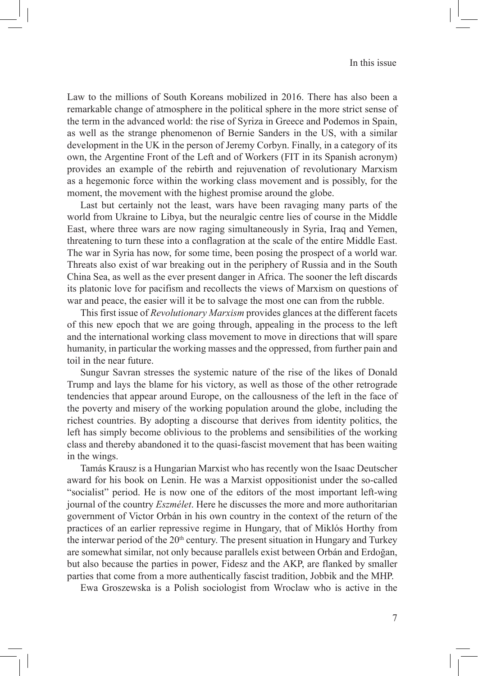Law to the millions of South Koreans mobilized in 2016. There has also been a remarkable change of atmosphere in the political sphere in the more strict sense of the term in the advanced world: the rise of Syriza in Greece and Podemos in Spain, as well as the strange phenomenon of Bernie Sanders in the US, with a similar development in the UK in the person of Jeremy Corbyn. Finally, in a category of its own, the Argentine Front of the Left and of Workers (FIT in its Spanish acronym) provides an example of the rebirth and rejuvenation of revolutionary Marxism as a hegemonic force within the working class movement and is possibly, for the moment, the movement with the highest promise around the globe.

Last but certainly not the least, wars have been ravaging many parts of the world from Ukraine to Libya, but the neuralgic centre lies of course in the Middle East, where three wars are now raging simultaneously in Syria, Iraq and Yemen, threatening to turn these into a conflagration at the scale of the entire Middle East. The war in Syria has now, for some time, been posing the prospect of a world war. Threats also exist of war breaking out in the periphery of Russia and in the South China Sea, as well as the ever present danger in Africa. The sooner the left discards its platonic love for pacifism and recollects the views of Marxism on questions of war and peace, the easier will it be to salvage the most one can from the rubble.

This first issue of *Revolutionary Marxism* provides glances at the different facets of this new epoch that we are going through, appealing in the process to the left and the international working class movement to move in directions that will spare humanity, in particular the working masses and the oppressed, from further pain and toil in the near future.

Sungur Savran stresses the systemic nature of the rise of the likes of Donald Trump and lays the blame for his victory, as well as those of the other retrograde tendencies that appear around Europe, on the callousness of the left in the face of the poverty and misery of the working population around the globe, including the richest countries. By adopting a discourse that derives from identity politics, the left has simply become oblivious to the problems and sensibilities of the working class and thereby abandoned it to the quasi-fascist movement that has been waiting in the wings.

Tamás Krausz is a Hungarian Marxist who has recently won the Isaac Deutscher award for his book on Lenin. He was a Marxist oppositionist under the so-called "socialist" period. He is now one of the editors of the most important left-wing journal of the country *Eszmélet*. Here he discusses the more and more authoritarian government of Victor Orbán in his own country in the context of the return of the practices of an earlier repressive regime in Hungary, that of Miklós Horthy from the interwar period of the  $20<sup>th</sup>$  century. The present situation in Hungary and Turkey are somewhat similar, not only because parallels exist between Orbán and Erdoğan, but also because the parties in power, Fidesz and the AKP, are flanked by smaller parties that come from a more authentically fascist tradition, Jobbik and the MHP.

Ewa Groszewska is a Polish sociologist from Wroclaw who is active in the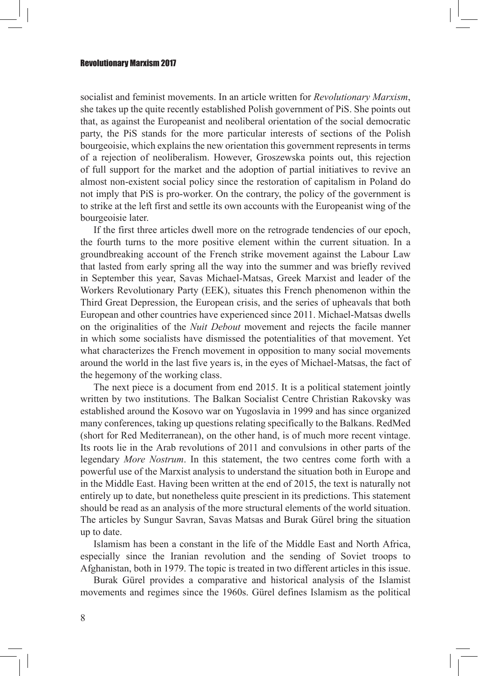## Revolutionary Marxism 2017

socialist and feminist movements. In an article written for *Revolutionary Marxism*, she takes up the quite recently established Polish government of PiS. She points out that, as against the Europeanist and neoliberal orientation of the social democratic party, the PiS stands for the more particular interests of sections of the Polish bourgeoisie, which explains the new orientation this government represents in terms of a rejection of neoliberalism. However, Groszewska points out, this rejection of full support for the market and the adoption of partial initiatives to revive an almost non-existent social policy since the restoration of capitalism in Poland do not imply that PiS is pro-worker. On the contrary, the policy of the government is to strike at the left first and settle its own accounts with the Europeanist wing of the bourgeoisie later.

If the first three articles dwell more on the retrograde tendencies of our epoch, the fourth turns to the more positive element within the current situation. In a groundbreaking account of the French strike movement against the Labour Law that lasted from early spring all the way into the summer and was briefly revived in September this year, Savas Michael-Matsas, Greek Marxist and leader of the Workers Revolutionary Party (EEK), situates this French phenomenon within the Third Great Depression, the European crisis, and the series of upheavals that both European and other countries have experienced since 2011. Michael-Matsas dwells on the originalities of the *Nuit Debout* movement and rejects the facile manner in which some socialists have dismissed the potentialities of that movement. Yet what characterizes the French movement in opposition to many social movements around the world in the last five years is, in the eyes of Michael-Matsas, the fact of the hegemony of the working class.

The next piece is a document from end 2015. It is a political statement jointly written by two institutions. The Balkan Socialist Centre Christian Rakovsky was established around the Kosovo war on Yugoslavia in 1999 and has since organized many conferences, taking up questions relating specifically to the Balkans. RedMed (short for Red Mediterranean), on the other hand, is of much more recent vintage. Its roots lie in the Arab revolutions of 2011 and convulsions in other parts of the legendary *More Nostrum*. In this statement, the two centres come forth with a powerful use of the Marxist analysis to understand the situation both in Europe and in the Middle East. Having been written at the end of 2015, the text is naturally not entirely up to date, but nonetheless quite prescient in its predictions. This statement should be read as an analysis of the more structural elements of the world situation. The articles by Sungur Savran, Savas Matsas and Burak Gürel bring the situation up to date.

Islamism has been a constant in the life of the Middle East and North Africa, especially since the Iranian revolution and the sending of Soviet troops to Afghanistan, both in 1979. The topic is treated in two different articles in this issue.

Burak Gürel provides a comparative and historical analysis of the Islamist movements and regimes since the 1960s. Gürel defines Islamism as the political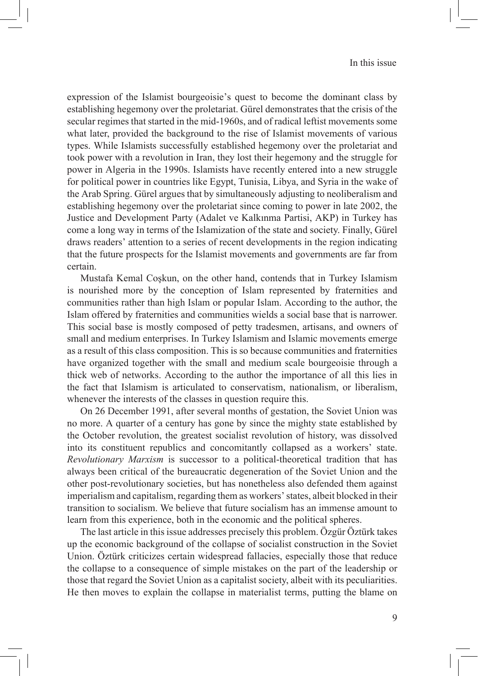expression of the Islamist bourgeoisie's quest to become the dominant class by establishing hegemony over the proletariat. Gürel demonstrates that the crisis of the secular regimes that started in the mid-1960s, and of radical leftist movements some what later, provided the background to the rise of Islamist movements of various types. While Islamists successfully established hegemony over the proletariat and took power with a revolution in Iran, they lost their hegemony and the struggle for power in Algeria in the 1990s. Islamists have recently entered into a new struggle for political power in countries like Egypt, Tunisia, Libya, and Syria in the wake of the Arab Spring. Gürel argues that by simultaneously adjusting to neoliberalism and establishing hegemony over the proletariat since coming to power in late 2002, the Justice and Development Party (Adalet ve Kalkınma Partisi, AKP) in Turkey has come a long way in terms of the Islamization of the state and society. Finally, Gürel draws readers' attention to a series of recent developments in the region indicating that the future prospects for the Islamist movements and governments are far from certain.

Mustafa Kemal Coşkun, on the other hand, contends that in Turkey Islamism is nourished more by the conception of Islam represented by fraternities and communities rather than high Islam or popular Islam. According to the author, the Islam offered by fraternities and communities wields a social base that is narrower. This social base is mostly composed of petty tradesmen, artisans, and owners of small and medium enterprises. In Turkey Islamism and Islamic movements emerge as a result of this class composition. This is so because communities and fraternities have organized together with the small and medium scale bourgeoisie through a thick web of networks. According to the author the importance of all this lies in the fact that Islamism is articulated to conservatism, nationalism, or liberalism, whenever the interests of the classes in question require this.

On 26 December 1991, after several months of gestation, the Soviet Union was no more. A quarter of a century has gone by since the mighty state established by the October revolution, the greatest socialist revolution of history, was dissolved into its constituent republics and concomitantly collapsed as a workers' state. *Revolutionary Marxism* is successor to a political-theoretical tradition that has always been critical of the bureaucratic degeneration of the Soviet Union and the other post-revolutionary societies, but has nonetheless also defended them against imperialism and capitalism, regarding them as workers' states, albeit blocked in their transition to socialism. We believe that future socialism has an immense amount to learn from this experience, both in the economic and the political spheres.

The last article in this issue addresses precisely this problem. Özgür Öztürk takes up the economic background of the collapse of socialist construction in the Soviet Union. Öztürk criticizes certain widespread fallacies, especially those that reduce the collapse to a consequence of simple mistakes on the part of the leadership or those that regard the Soviet Union as a capitalist society, albeit with its peculiarities. He then moves to explain the collapse in materialist terms, putting the blame on